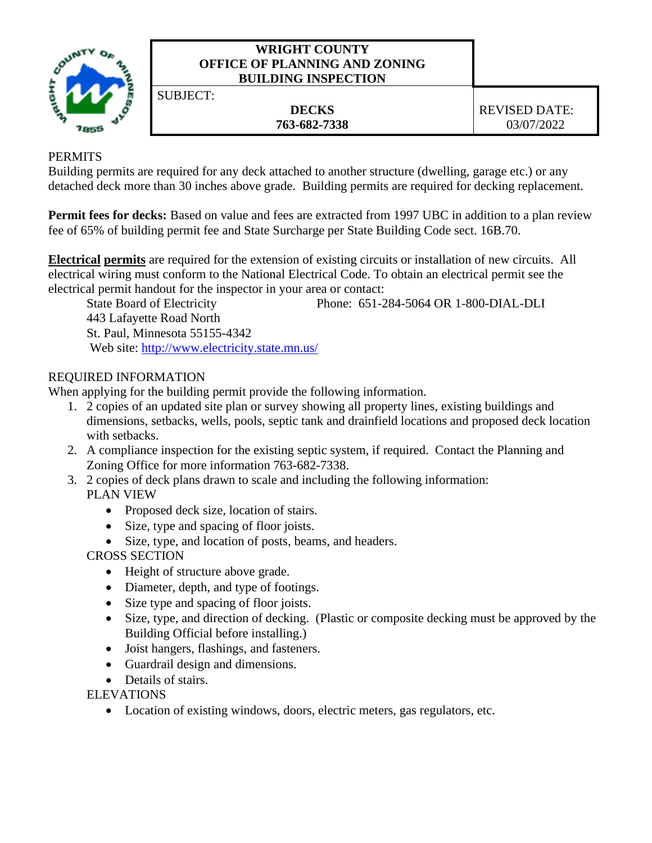

### **WRIGHT COUNTY OFFICE OF PLANNING AND ZONING BUILDING INSPECTION**

SUBJECT:

# **PERMITS**

Building permits are required for any deck attached to another structure (dwelling, garage etc.) or any detached deck more than 30 inches above grade. Building permits are required for decking replacement.

**Permit fees for decks:** Based on value and fees are extracted from 1997 UBC in addition to a plan review fee of 65% of building permit fee and State Surcharge per State Building Code sect. 16B.70.

**Electrical permits** are required for the extension of existing circuits or installation of new circuits. All electrical wiring must conform to the National Electrical Code. To obtain an electrical permit see the electrical permit handout for the inspector in your area or contact:

State Board of Electricity Phone: 651-284-5064 OR 1-800-DIAL-DLI

443 Lafayette Road North St. Paul, Minnesota 55155-4342 Web site:<http://www.electricity.state.mn.us/>

# REQUIRED INFORMATION

When applying for the building permit provide the following information.

- 1. 2 copies of an updated site plan or survey showing all property lines, existing buildings and dimensions, setbacks, wells, pools, septic tank and drainfield locations and proposed deck location with setbacks.
- 2. A compliance inspection for the existing septic system, if required. Contact the Planning and Zoning Office for more information 763-682-7338.
- 3. 2 copies of deck plans drawn to scale and including the following information: PLAN VIEW
	- Proposed deck size, location of stairs.
	- Size, type and spacing of floor joists.
	- Size, type, and location of posts, beams, and headers.
	- CROSS SECTION
		- Height of structure above grade.
		- Diameter, depth, and type of footings.
		- Size type and spacing of floor joists.
		- Size, type, and direction of decking. (Plastic or composite decking must be approved by the Building Official before installing.)
		- Joist hangers, flashings, and fasteners.
		- Guardrail design and dimensions.
		- Details of stairs.

ELEVATIONS

• Location of existing windows, doors, electric meters, gas regulators, etc.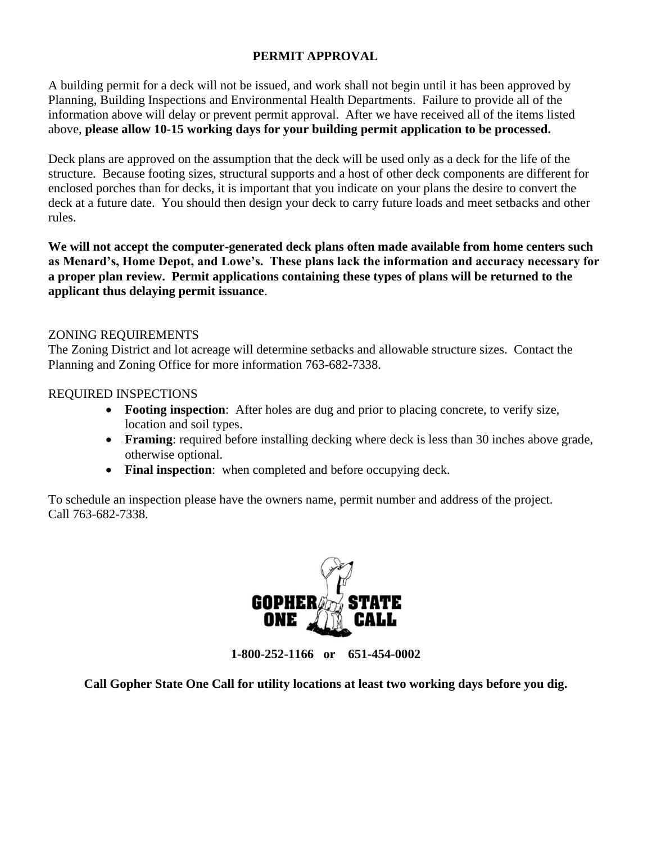## **PERMIT APPROVAL**

A building permit for a deck will not be issued, and work shall not begin until it has been approved by Planning, Building Inspections and Environmental Health Departments. Failure to provide all of the information above will delay or prevent permit approval. After we have received all of the items listed above, **please allow 10-15 working days for your building permit application to be processed.**

Deck plans are approved on the assumption that the deck will be used only as a deck for the life of the structure. Because footing sizes, structural supports and a host of other deck components are different for enclosed porches than for decks, it is important that you indicate on your plans the desire to convert the deck at a future date. You should then design your deck to carry future loads and meet setbacks and other rules.

**We will not accept the computer-generated deck plans often made available from home centers such as Menard's, Home Depot, and Lowe's. These plans lack the information and accuracy necessary for a proper plan review. Permit applications containing these types of plans will be returned to the applicant thus delaying permit issuance**.

### ZONING REQUIREMENTS

The Zoning District and lot acreage will determine setbacks and allowable structure sizes. Contact the Planning and Zoning Office for more information 763-682-7338.

### REQUIRED INSPECTIONS

- **Footing inspection**: After holes are dug and prior to placing concrete, to verify size, location and soil types.
- **Framing**: required before installing decking where deck is less than 30 inches above grade, otherwise optional.
- **Final inspection**: when completed and before occupying deck.

To schedule an inspection please have the owners name, permit number and address of the project. Call 763-682-7338.



**1-800-252-1166 or 651-454-0002**

**Call Gopher State One Call for utility locations at least two working days before you dig.**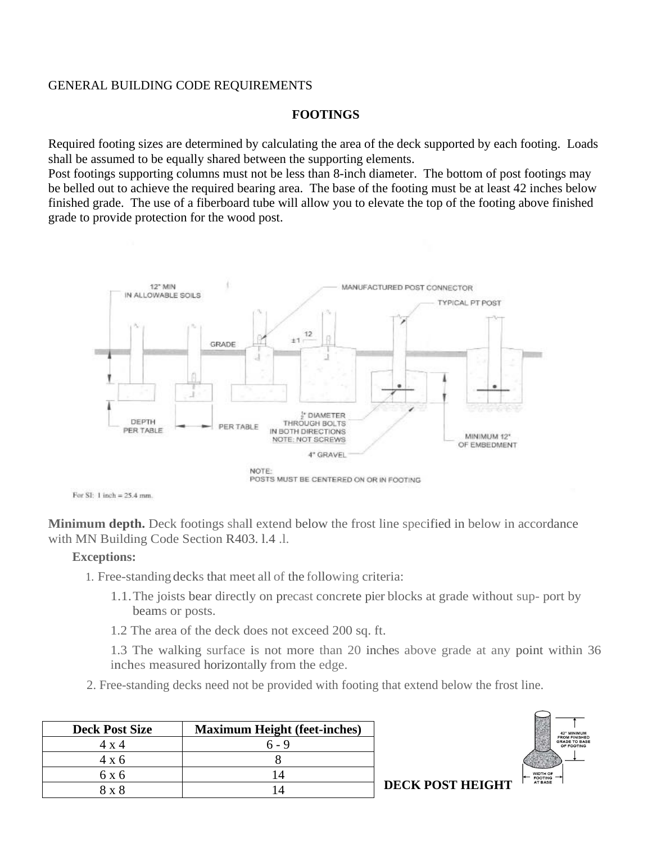### GENERAL BUILDING CODE REQUIREMENTS

#### **FOOTINGS**

Required footing sizes are determined by calculating the area of the deck supported by each footing. Loads shall be assumed to be equally shared between the supporting elements.

Post footings supporting columns must not be less than 8-inch diameter. The bottom of post footings may be belled out to achieve the required bearing area. The base of the footing must be at least 42 inches below finished grade. The use of a fiberboard tube will allow you to elevate the top of the footing above finished grade to provide protection for the wood post.



For  $SI$ : 1 inch = 25.4 mm.

**Minimum depth.** Deck footings shall extend below the frost line specified in below in accordance with MN Building Code Section R403. l.4 .l.

#### **Exceptions:**

- 1. Free-standing decks that meet all of the following criteria:
	- 1.1.The joists bear directly on precast concrete pier blocks at grade without sup- port by beams or posts.
	- 1.2 The area of the deck does not exceed 200 sq. ft.

1.3 The walking surface is not more than 20 inches above grade at any point within 36 inches measured horizontally from the edge.

2. Free-standing decks need not be provided with footing that extend below the frost line.

| <b>Deck Post Size</b> | <b>Maximum Height (feet-inches)</b> |
|-----------------------|-------------------------------------|
| 4 x 4                 | ճ - 9                               |
| 4 x 6                 |                                     |
| 6 x 6                 |                                     |
| $8 \times 8$          |                                     |



**DECK POST HEIGHT**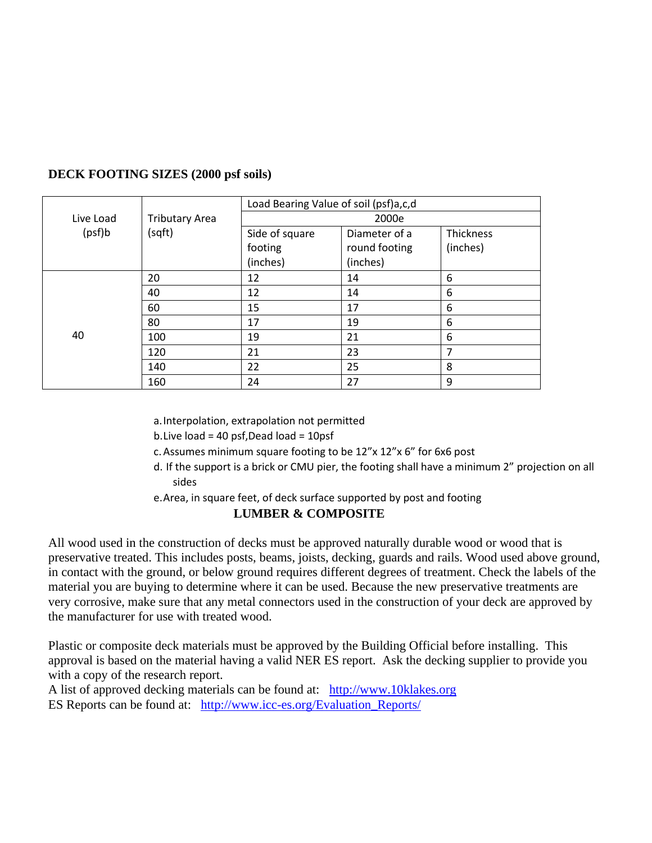|           |                       | Load Bearing Value of soil (psf)a,c,d |               |           |  |  |  |  |
|-----------|-----------------------|---------------------------------------|---------------|-----------|--|--|--|--|
| Live Load | <b>Tributary Area</b> |                                       | 2000e         |           |  |  |  |  |
| (psf)b    | (sqft)                | Side of square                        | Diameter of a | Thickness |  |  |  |  |
|           |                       | footing                               | round footing | (inches)  |  |  |  |  |
|           |                       | (inches)                              | (inches)      |           |  |  |  |  |
| 40        | 20                    | 12                                    | 14            | 6         |  |  |  |  |
|           | 40                    | 12                                    | 14            | 6         |  |  |  |  |
|           | 60                    | 15                                    | 17            | 6         |  |  |  |  |
|           | 80                    | 17                                    | 19            | 6         |  |  |  |  |
|           | 100                   | 19                                    | 21            | 6         |  |  |  |  |
|           | 120                   | 21                                    | 23            | 7         |  |  |  |  |
|           | 140                   | 22                                    | 25            | 8         |  |  |  |  |
|           | 160                   | 24                                    | 27            | 9         |  |  |  |  |

## **DECK FOOTING SIZES (2000 psf soils)**

a.Interpolation, extrapolation not permitted

b.Live load = 40 psf,Dead load = 10psf

c.Assumes minimum square footing to be 12"x 12"x 6" for 6x6 post

- d. If the support is a brick or CMU pier, the footing shall have a minimum 2" projection on all sides
- e.Area, in square feet, of deck surface supported by post and footing

## **LUMBER & COMPOSITE**

All wood used in the construction of decks must be approved naturally durable wood or wood that is preservative treated. This includes posts, beams, joists, decking, guards and rails. Wood used above ground, in contact with the ground, or below ground requires different degrees of treatment. Check the labels of the material you are buying to determine where it can be used. Because the new preservative treatments are very corrosive, make sure that any metal connectors used in the construction of your deck are approved by the manufacturer for use with treated wood.

Plastic or composite deck materials must be approved by the Building Official before installing. This approval is based on the material having a valid NER ES report. Ask the decking supplier to provide you with a copy of the research report.

A list of approved decking materials can be found at: [http://www.10klakes.org](http://www.10klakes.org/) ES Reports can be found at: [http://www.icc-es.org/Evaluation\\_Reports/](http://www.icc-es.org/Evaluation_Reports/)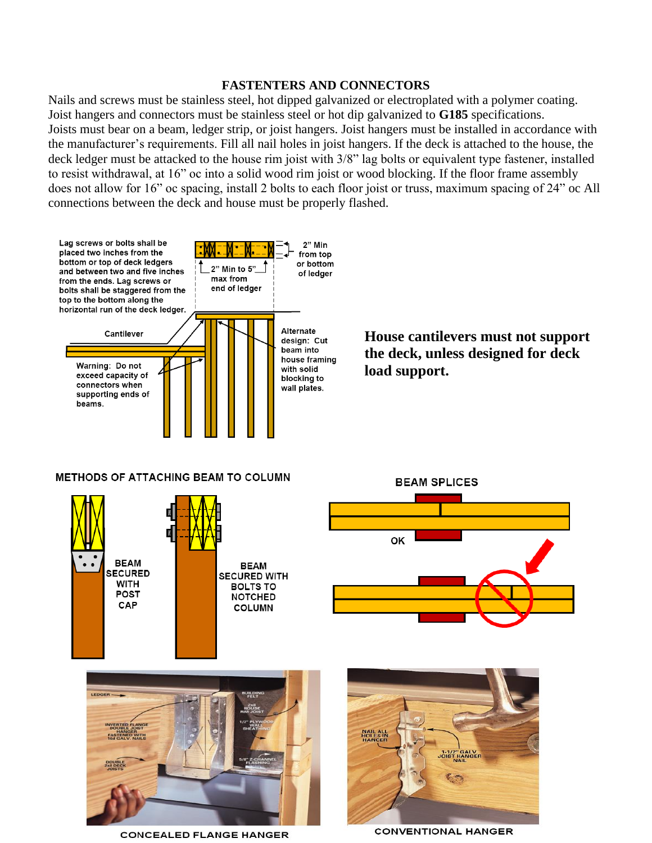#### **FASTENTERS AND CONNECTORS**

Nails and screws must be stainless steel, hot dipped galvanized or electroplated with a polymer coating. Joist hangers and connectors must be stainless steel or hot dip galvanized to **G185** specifications. Joists must bear on a beam, ledger strip, or joist hangers. Joist hangers must be installed in accordance with the manufacturer's requirements. Fill all nail holes in joist hangers. If the deck is attached to the house, the deck ledger must be attacked to the house rim joist with  $3/8$ " lag bolts or equivalent type fastener, installed to resist withdrawal, at 16" oc into a solid wood rim joist or wood blocking. If the floor frame assembly does not allow for 16" oc spacing, install 2 bolts to each floor joist or truss, maximum spacing of 24" oc All connections between the deck and house must be properly flashed.





**COLUMN** 

CAP

**CONCEALED FLANGE HANGER** 



**CONVENTIONAL HANGER**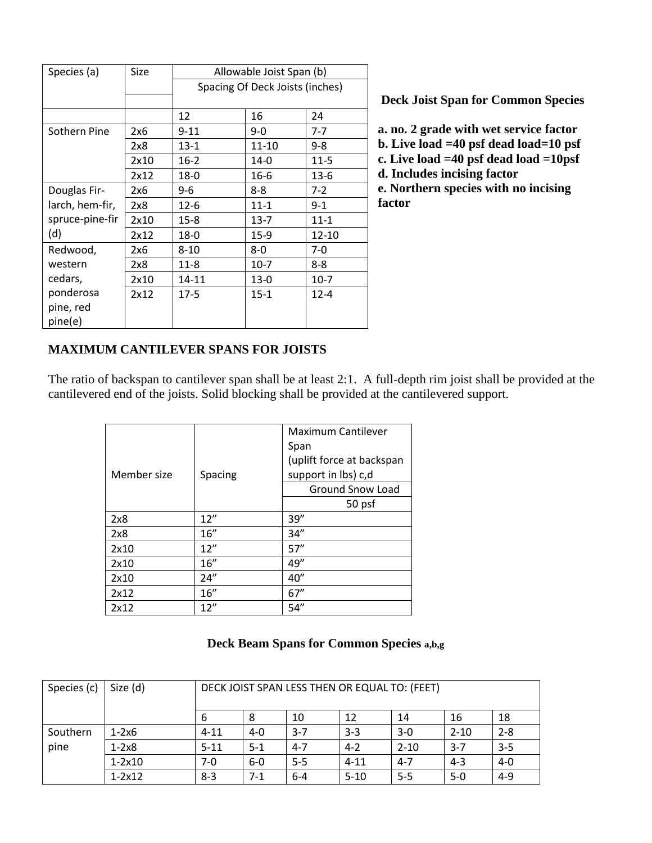| Species (a)     | Size | Allowable Joist Span (b)        |          |          |  |  |  |
|-----------------|------|---------------------------------|----------|----------|--|--|--|
|                 |      | Spacing Of Deck Joists (inches) |          |          |  |  |  |
|                 |      |                                 |          |          |  |  |  |
|                 |      | 12                              | 16       | 24       |  |  |  |
| Sothern Pine    | 2x6  | $9 - 11$                        | 9-0      | $7 - 7$  |  |  |  |
|                 | 2x8  | $13-1$                          | 11-10    | $9 - 8$  |  |  |  |
|                 | 2x10 | $16-2$                          | $14-0$   | $11 - 5$ |  |  |  |
|                 | 2x12 | $18-0$                          | 16-6     | 13-6     |  |  |  |
| Douglas Fir-    | 2x6  | 9-6                             | 8-8      | $7-2$    |  |  |  |
| larch, hem-fir, | 2x8  | $12 - 6$                        | $11 - 1$ | $9 - 1$  |  |  |  |
| spruce-pine-fir | 2x10 | $15-8$                          | $13 - 7$ | $11 - 1$ |  |  |  |
| (d)             | 2x12 | $18-0$                          | $15-9$   | 12-10    |  |  |  |
| Redwood,        | 2x6  | 8-10                            | 8-0      | 7-0      |  |  |  |
| western         | 2x8  | $11 - 8$                        | $10-7$   | 8-8      |  |  |  |
| cedars,         | 2x10 | 14-11                           | $13-0$   | $10-7$   |  |  |  |
| ponderosa       | 2x12 | $17-5$                          | $15 - 1$ | $12 - 4$ |  |  |  |
| pine, red       |      |                                 |          |          |  |  |  |
| pine(e)         |      |                                 |          |          |  |  |  |

**Deck Joist Span for Common Species**

**a. no. 2 grade with wet service factor b. Live load =40 psf dead load=10 psf c. Live load =40 psf dead load =10psf d. Includes incising factor e. Northern species with no incising factor**

## **MAXIMUM CANTILEVER SPANS FOR JOISTS**

The ratio of backspan to cantilever span shall be at least 2:1. A full-depth rim joist shall be provided at the cantilevered end of the joists. Solid blocking shall be provided at the cantilevered support.

|             |         | Maximum Cantilever        |  |  |
|-------------|---------|---------------------------|--|--|
|             |         | Span                      |  |  |
| Member size |         | (uplift force at backspan |  |  |
|             | Spacing | support in lbs) c,d       |  |  |
|             |         | <b>Ground Snow Load</b>   |  |  |
|             |         | 50 psf                    |  |  |
| 2x8         | 12''    | 39''                      |  |  |
| 2x8         | 16"     | 34"                       |  |  |
| 2x10        | 12''    | 57''                      |  |  |
| 2x10        | 16"     | 49"                       |  |  |
| 2x10        | 24''    | 40"                       |  |  |
| 2x12        | 16"     | 67''                      |  |  |
| 2x12        | 12''    | 54''                      |  |  |

#### **Deck Beam Spans for Common Species a,b,g**

| Species (c) | Size (d)          | DECK JOIST SPAN LESS THEN OR EQUAL TO: (FEET) |         |         |          |          |          |         |
|-------------|-------------------|-----------------------------------------------|---------|---------|----------|----------|----------|---------|
|             |                   | 6                                             | 8       | 10      | 12       | 14       | 16       | 18      |
| Southern    | $1-2x6$           | $4 - 11$                                      | $4 - 0$ | $3 - 7$ | $3 - 3$  | $3-0$    | $2 - 10$ | $2 - 8$ |
| pine        | $1-2x8$           | $5 - 11$                                      | $5 - 1$ | $4 - 7$ | $4 - 2$  | $2 - 10$ | $3 - 7$  | $3 - 5$ |
|             | $1-2\times10$     | $7-0$                                         | $6-0$   | $5 - 5$ | $4 - 11$ | $4 - 7$  | $4 - 3$  | $4 - 0$ |
|             | $1 - 2 \times 12$ | $8-3$                                         | $7-1$   | $6 - 4$ | $5 - 10$ | $5 - 5$  | $5 - 0$  | $4 - 9$ |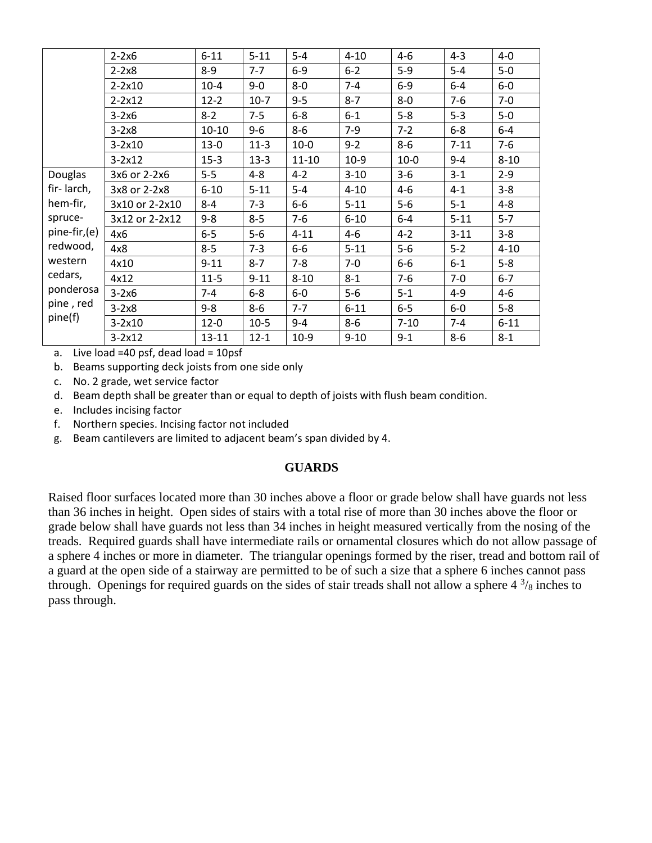|              | $2-2x6$           | $6 - 11$  | $5 - 11$ | $5 - 4$   | $4 - 10$ | $4 - 6$  | $4 - 3$  | $4-0$    |
|--------------|-------------------|-----------|----------|-----------|----------|----------|----------|----------|
|              | $2-2x8$           | $8 - 9$   | $7 - 7$  | $6-9$     | $6 - 2$  | $5-9$    | $5-4$    | $5-0$    |
|              | $2 - 2 \times 10$ | $10-4$    | $9-0$    | $8-0$     | $7 - 4$  | $6-9$    | $6-4$    | $6-0$    |
|              | $2 - 2 \times 12$ | $12 - 2$  | $10-7$   | $9 - 5$   | $8 - 7$  | $8-0$    | $7-6$    | $7 - 0$  |
|              | $3-2x6$           | $8 - 2$   | $7 - 5$  | $6-8$     | $6 - 1$  | $5 - 8$  | $5 - 3$  | $5-0$    |
|              | $3-2x8$           | $10 - 10$ | $9 - 6$  | $8-6$     | $7-9$    | $7 - 2$  | $6-8$    | $6-4$    |
|              | $3 - 2x10$        | $13 - 0$  | $11-3$   | $10-0$    | $9 - 2$  | $8-6$    | $7 - 11$ | $7-6$    |
|              | $3-2x12$          | $15-3$    | $13-3$   | $11 - 10$ | $10-9$   | $10-0$   | $9 - 4$  | $8 - 10$ |
| Douglas      | 3x6 or 2-2x6      | $5-5$     | $4 - 8$  | $4 - 2$   | $3 - 10$ | $3 - 6$  | $3 - 1$  | $2 - 9$  |
| fir-larch,   | 3x8 or 2-2x8      | $6 - 10$  | $5 - 11$ | $5 - 4$   | $4 - 10$ | 4-6      | $4 - 1$  | $3 - 8$  |
| hem-fir,     | 3x10 or 2-2x10    | 8-4       | $7 - 3$  | $6-6$     | $5 - 11$ | $5-6$    | $5 - 1$  | $4 - 8$  |
| spruce-      | 3x12 or 2-2x12    | $9 - 8$   | $8 - 5$  | $7-6$     | $6 - 10$ | $6-4$    | $5 - 11$ | $5 - 7$  |
| pine-fir,(e) | 4x6               | $6-5$     | $5-6$    | $4 - 11$  | $4 - 6$  | $4 - 2$  | $3 - 11$ | $3 - 8$  |
| redwood,     | 4x8               | $8 - 5$   | $7 - 3$  | $6-6$     | $5 - 11$ | $5-6$    | $5 - 2$  | $4 - 10$ |
| western      | 4x10              | $9 - 11$  | $8 - 7$  | $7 - 8$   | $7-0$    | $6-6$    | $6 - 1$  | $5 - 8$  |
| cedars,      | 4x12              | $11 - 5$  | $9 - 11$ | $8 - 10$  | $8 - 1$  | $7-6$    | $7-0$    | $6 - 7$  |
| ponderosa    | $3-2x6$           | $7 - 4$   | $6-8$    | $6-0$     | $5-6$    | $5 - 1$  | $4 - 9$  | $4 - 6$  |
| pine, red    | $3-2x8$           | $9 - 8$   | $8 - 6$  | $7 - 7$   | $6 - 11$ | $6-5$    | $6-0$    | $5 - 8$  |
| pine(f)      | $3-2x10$          | $12 - 0$  | $10-5$   | $9 - 4$   | $8-6$    | $7 - 10$ | $7 - 4$  | $6 - 11$ |
|              | $3 - 2x12$        | $13 - 11$ | $12 - 1$ | $10-9$    | $9 - 10$ | $9 - 1$  | $8 - 6$  | $8 - 1$  |

a. Live load =40 psf, dead load =  $10\text{psf}$ 

b. Beams supporting deck joists from one side only

c. No. 2 grade, wet service factor

d. Beam depth shall be greater than or equal to depth of joists with flush beam condition.

e. Includes incising factor

- f. Northern species. Incising factor not included
- g. Beam cantilevers are limited to adjacent beam's span divided by 4.

#### **GUARDS**

Raised floor surfaces located more than 30 inches above a floor or grade below shall have guards not less than 36 inches in height. Open sides of stairs with a total rise of more than 30 inches above the floor or grade below shall have guards not less than 34 inches in height measured vertically from the nosing of the treads. Required guards shall have intermediate rails or ornamental closures which do not allow passage of a sphere 4 inches or more in diameter. The triangular openings formed by the riser, tread and bottom rail of a guard at the open side of a stairway are permitted to be of such a size that a sphere 6 inches cannot pass through. Openings for required guards on the sides of stair treads shall not allow a sphere  $4\frac{3}{8}$  inches to pass through.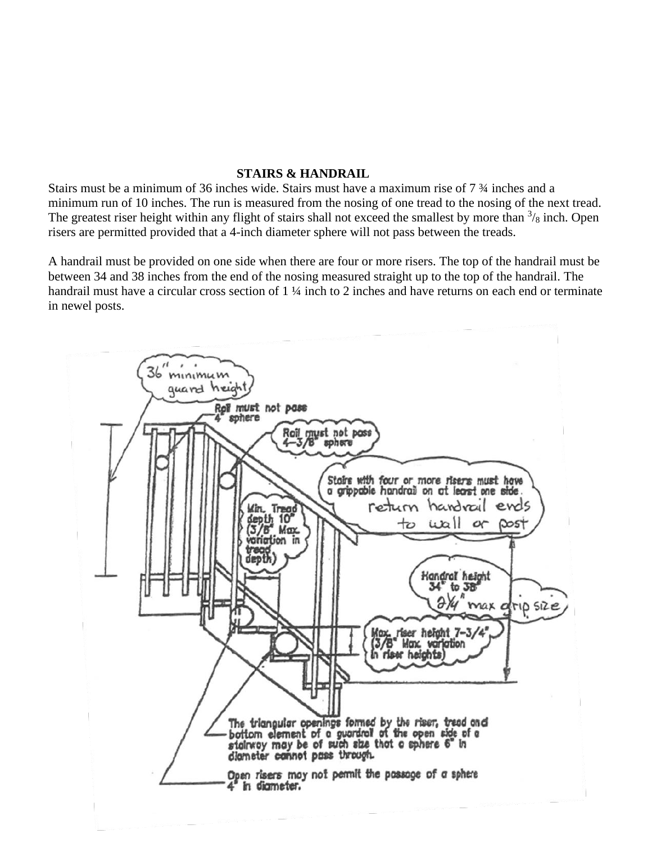### **STAIRS & HANDRAIL**

Stairs must be a minimum of 36 inches wide. Stairs must have a maximum rise of 7 ¾ inches and a minimum run of 10 inches. The run is measured from the nosing of one tread to the nosing of the next tread. The greatest riser height within any flight of stairs shall not exceed the smallest by more than  $\frac{3}{8}$  inch. Open risers are permitted provided that a 4-inch diameter sphere will not pass between the treads.

A handrail must be provided on one side when there are four or more risers. The top of the handrail must be between 34 and 38 inches from the end of the nosing measured straight up to the top of the handrail. The handrail must have a circular cross section of 1 ¼ inch to 2 inches and have returns on each end or terminate in newel posts.